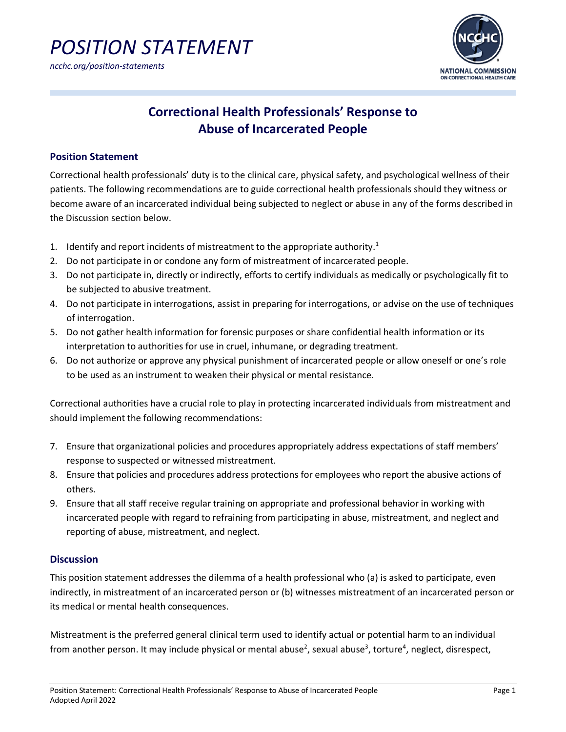



### **Correctional Health Professionals' Response to Abuse of Incarcerated People**

#### **Position Statement**

Correctional health professionals' duty is to the clinical care, physical safety, and psychological wellness of their patients. The following recommendations are to guide correctional health professionals should they witness or become aware of an incarcerated individual being subjected to neglect or abuse in any of the forms described in the Discussion section below.

- 1. Identify and report incidents of mistreatment to the appropriate authority.<sup>1</sup>
- 2. Do not participate in or condone any form of mistreatment of incarcerated people.
- 3. Do not participate in, directly or indirectly, efforts to certify individuals as medically or psychologically fit to be subjected to abusive treatment.
- 4. Do not participate in interrogations, assist in preparing for interrogations, or advise on the use of techniques of interrogation.
- 5. Do not gather health information for forensic purposes or share confidential health information or its interpretation to authorities for use in cruel, inhumane, or degrading treatment.
- 6. Do not authorize or approve any physical punishment of incarcerated people or allow oneself or one's role to be used as an instrument to weaken their physical or mental resistance.

Correctional authorities have a crucial role to play in protecting incarcerated individuals from mistreatment and should implement the following recommendations:

- 7. Ensure that organizational policies and procedures appropriately address expectations of staff members' response to suspected or witnessed mistreatment.
- 8. Ensure that policies and procedures address protections for employees who report the abusive actions of others.
- 9. Ensure that all staff receive regular training on appropriate and professional behavior in working with incarcerated people with regard to refraining from participating in abuse, mistreatment, and neglect and reporting of abuse, mistreatment, and neglect.

### **Discussion**

This position statement addresses the dilemma of a health professional who (a) is asked to participate, even indirectly, in mistreatment of an incarcerated person or (b) witnesses mistreatment of an incarcerated person or its medical or mental health consequences.

Mistreatment is the preferred general clinical term used to identify actual or potential harm to an individual from another person. It may include physical or mental abuse<sup>2</sup>, sexual abuse<sup>3</sup>, torture<sup>4</sup>, neglect, disrespect,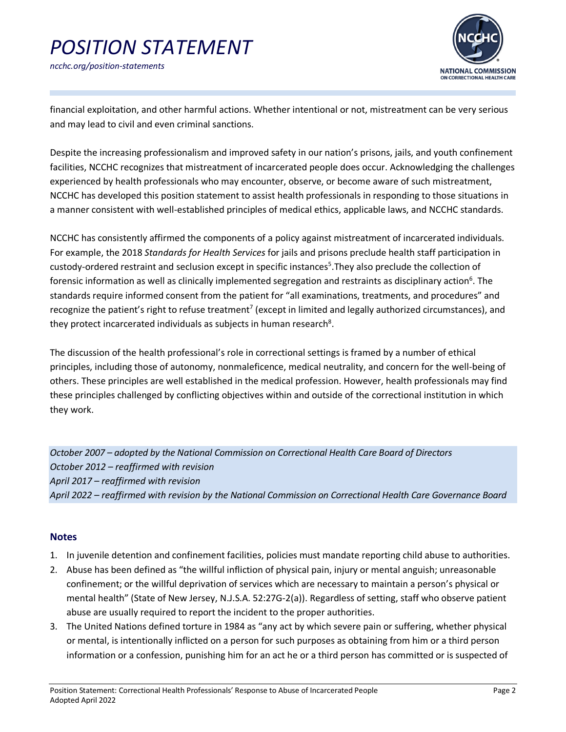## *POSITION STATEMENT ncchc.org/position-statements*



financial exploitation, and other harmful actions. Whether intentional or not, mistreatment can be very serious and may lead to civil and even criminal sanctions.

Despite the increasing professionalism and improved safety in our nation's prisons, jails, and youth confinement facilities, NCCHC recognizes that mistreatment of incarcerated people does occur. Acknowledging the challenges experienced by health professionals who may encounter, observe, or become aware of such mistreatment, NCCHC has developed this position statement to assist health professionals in responding to those situations in a manner consistent with well-established principles of medical ethics, applicable laws, and NCCHC standards.

NCCHC has consistently affirmed the components of a policy against mistreatment of incarcerated individuals. For example, the 2018 *Standards for Health Services* for jails and prisons preclude health staff participation in custody-ordered restraint and seclusion except in specific instances<sup>5</sup>. They also preclude the collection of forensic information as well as clinically implemented segregation and restraints as disciplinary action<sup>6</sup>. The standards require informed consent from the patient for "all examinations, treatments, and procedures" and recognize the patient's right to refuse treatment<sup>7</sup> (except in limited and legally authorized circumstances), and they protect incarcerated individuals as subjects in human research<sup>8</sup>.

The discussion of the health professional's role in correctional settings is framed by a number of ethical principles, including those of autonomy, nonmaleficence, medical neutrality, and concern for the well-being of others. These principles are well established in the medical profession. However, health professionals may find these principles challenged by conflicting objectives within and outside of the correctional institution in which they work.

*October 2007 – adopted by the National Commission on Correctional Health Care Board of Directors October 2012 – reaffirmed with revision April 2017 – reaffirmed with revision April 2022 – reaffirmed with revision by the National Commission on Correctional Health Care Governance Board*

### **Notes**

- 1. In juvenile detention and confinement facilities, policies must mandate reporting child abuse to authorities.
- 2. Abuse has been defined as "the willful infliction of physical pain, injury or mental anguish; unreasonable confinement; or the willful deprivation of services which are necessary to maintain a person's physical or mental health" (State of New Jersey, N.J.S.A. 52:27G-2(a)). Regardless of setting, staff who observe patient abuse are usually required to report the incident to the proper authorities.
- 3. The United Nations defined torture in 1984 as "any act by which severe pain or suffering, whether physical or mental, is intentionally inflicted on a person for such purposes as obtaining from him or a third person information or a confession, punishing him for an act he or a third person has committed or is suspected of